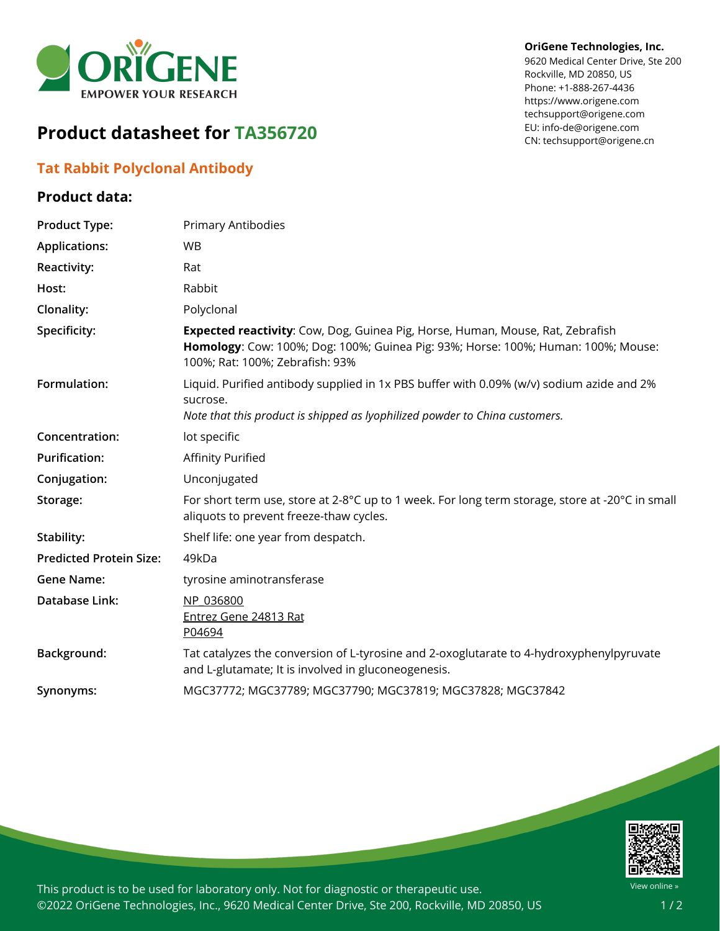

#### **OriGene Technologies, Inc.**

9620 Medical Center Drive, Ste 200 Rockville, MD 20850, US Phone: +1-888-267-4436 https://www.origene.com techsupport@origene.com EU: info-de@origene.com CN: techsupport@origene.cn

# **Product datasheet for TA356720**

### **Tat Rabbit Polyclonal Antibody**

#### **Product data:**

| <b>Product Type:</b>           | Primary Antibodies                                                                                                                                                                                     |
|--------------------------------|--------------------------------------------------------------------------------------------------------------------------------------------------------------------------------------------------------|
| <b>Applications:</b>           | <b>WB</b>                                                                                                                                                                                              |
| Reactivity:                    | Rat                                                                                                                                                                                                    |
| Host:                          | Rabbit                                                                                                                                                                                                 |
| Clonality:                     | Polyclonal                                                                                                                                                                                             |
| Specificity:                   | Expected reactivity: Cow, Dog, Guinea Pig, Horse, Human, Mouse, Rat, Zebrafish<br>Homology: Cow: 100%; Dog: 100%; Guinea Pig: 93%; Horse: 100%; Human: 100%; Mouse:<br>100%; Rat: 100%; Zebrafish: 93% |
| Formulation:                   | Liquid. Purified antibody supplied in 1x PBS buffer with 0.09% (w/v) sodium azide and 2%<br>sucrose.<br>Note that this product is shipped as lyophilized powder to China customers.                    |
| Concentration:                 | lot specific                                                                                                                                                                                           |
| <b>Purification:</b>           | <b>Affinity Purified</b>                                                                                                                                                                               |
| Conjugation:                   | Unconjugated                                                                                                                                                                                           |
| Storage:                       | For short term use, store at 2-8°C up to 1 week. For long term storage, store at -20°C in small<br>aliquots to prevent freeze-thaw cycles.                                                             |
| Stability:                     | Shelf life: one year from despatch.                                                                                                                                                                    |
| <b>Predicted Protein Size:</b> | 49kDa                                                                                                                                                                                                  |
| <b>Gene Name:</b>              | tyrosine aminotransferase                                                                                                                                                                              |
| <b>Database Link:</b>          | NP 036800<br>Entrez Gene 24813 Rat<br>P04694                                                                                                                                                           |
| Background:                    | Tat catalyzes the conversion of L-tyrosine and 2-oxoglutarate to 4-hydroxyphenylpyruvate<br>and L-glutamate; It is involved in gluconeogenesis.                                                        |
| Synonyms:                      | MGC37772; MGC37789; MGC37790; MGC37819; MGC37828; MGC37842                                                                                                                                             |



This product is to be used for laboratory only. Not for diagnostic or therapeutic use. ©2022 OriGene Technologies, Inc., 9620 Medical Center Drive, Ste 200, Rockville, MD 20850, US